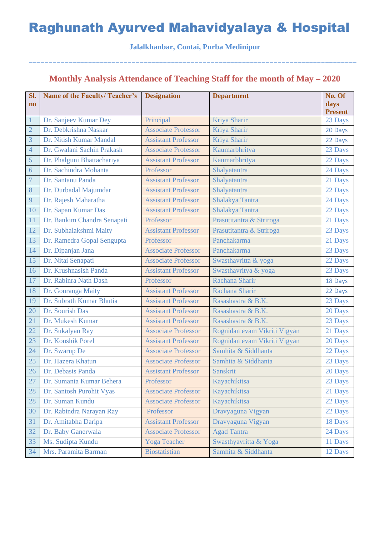#### **Jalalkhanbar, Contai, Purba Medinipur**

===================================================================================

## **Monthly Analysis Attendance of Teaching Staff for the month of May – 2020**

| SI.                    | <b>Name of the Faculty/Teacher's</b> | <b>Designation</b>         | <b>Department</b>            | No. Of         |
|------------------------|--------------------------------------|----------------------------|------------------------------|----------------|
| $\mathbf{n}\mathbf{o}$ |                                      |                            |                              | days           |
|                        |                                      |                            |                              | <b>Present</b> |
| $\mathbf{1}$           | Dr. Sanjeev Kumar Dey                | Principal                  | Kriya Sharir                 | 23 Days        |
| $\overline{2}$         | Dr. Debkrishna Naskar                | <b>Associate Professor</b> | Kriya Sharir                 | 20 Days        |
| $\overline{3}$         | Dr. Nitish Kumar Mandal              | <b>Assistant Professor</b> | Kriya Sharir                 | 22 Days        |
| $\overline{4}$         | Dr. Gwalani Sachin Prakash           | <b>Associate Professor</b> | Kaumarbhritya                | 23 Days        |
| 5                      | Dr. Phalguni Bhattachariya           | <b>Assistant Professor</b> | Kaumarbhritya                | 22 Days        |
| 6                      | Dr. Sachindra Mohanta                | Professor                  | Shalyatantra                 | 24 Days        |
| $\overline{7}$         | Dr. Santanu Panda                    | <b>Assistant Professor</b> | Shalyatantra                 | 21 Days        |
| 8                      | Dr. Durbadal Majumdar                | <b>Assistant Professor</b> | Shalyatantra                 | 22 Days        |
| 9                      | Dr. Rajesh Maharatha                 | <b>Assistant Professor</b> | Shalakya Tantra              | 24 Days        |
| 10                     | Dr. Sapan Kumar Das                  | <b>Assistant Professor</b> | Shalakya Tantra              | 22 Days        |
| 11                     | Dr. Bankim Chandra Senapati          | Professor                  | Prasutitantra & Striroga     | 21 Days        |
| 12                     | Dr. Subhalakshmi Maity               | <b>Assistant Professor</b> | Prasutitantra & Striroga     | 23 Days        |
| 13                     | Dr. Ramedra Gopal Sengupta           | Professor                  | Panchakarma                  | 21 Days        |
| 14                     | Dr. Dipanjan Jana                    | <b>Associate Professor</b> | Panchakarma                  | 23 Days        |
| 15                     | Dr. Nitai Senapati                   | <b>Associate Professor</b> | Swasthavritta & yoga         | 22 Days        |
| 16                     | Dr. Krushnasish Panda                | <b>Assistant Professor</b> | Swasthavritya & yoga         | 23 Days        |
| 17                     | Dr. Rabinra Nath Dash                | Professor                  | Rachana Sharir               | 18 Days        |
| 18                     | Dr. Gouranga Maity                   | <b>Assistant Professor</b> | Rachana Sharir               | 22 Days        |
| 19                     | Dr. Subrath Kumar Bhutia             | <b>Assistant Professor</b> | Rasashastra & B.K.           | 23 Days        |
| 20                     | Dr. Sourish Das                      | <b>Assistant Professor</b> | Rasashastra & B.K.           | 20 Days        |
| 21                     | Dr. Mukesh Kumar                     | <b>Assistant Professor</b> | Rasashastra & B.K.           | 23 Days        |
| 22                     | Dr. Sukalyan Ray                     | <b>Associate Professor</b> | Rognidan evam Vikriti Vigyan | 21 Days        |
| 23                     | Dr. Koushik Porel                    | <b>Assistant Professor</b> | Rognidan evam Vikriti Vigyan | 20 Days        |
| 24                     | Dr. Swarup De                        | <b>Associate Professor</b> | Samhita & Siddhanta          | 22 Days        |
| 25                     | Dr. Hazera Khatun                    | <b>Associate Professor</b> | Samhita & Siddhanta          | 23 Days        |
| 26                     | Dr. Debasis Panda                    | <b>Assistant Professor</b> | <b>Sanskrit</b>              | 20 Days        |
| 27                     | Dr. Sumanta Kumar Behera             | Professor                  | Kayachikitsa                 | 23 Days        |
| 28                     | Dr. Santosh Purohit Vyas             | <b>Associate Professor</b> | Kayachikitsa                 | 21 Days        |
| 28                     | Dr. Suman Kundu                      | <b>Associate Professor</b> | Kayachikitsa                 | 22 Days        |
| 30                     | Dr. Rabindra Narayan Ray             | Professor                  | Dravyaguna Vigyan            | 22 Days        |
| 31                     | Dr. Amitabha Daripa                  | <b>Assistant Professor</b> | Dravyaguna Vigyan            | 18 Days        |
| 32                     | Dr. Baby Ganerwala                   | <b>Associate Professor</b> | <b>Agad Tantra</b>           | 24 Days        |
| 33                     | Ms. Sudipta Kundu                    | <b>Yoga Teacher</b>        | Swasthyavritta & Yoga        | 11 Days        |
| 34                     | Mrs. Paramita Barman                 | <b>Biostatistian</b>       | Samhita & Siddhanta          | 12 Days        |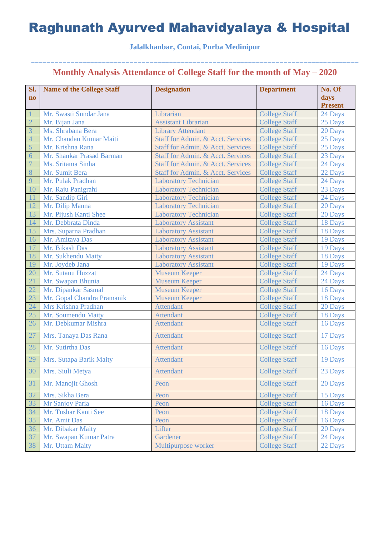### **Jalalkhanbar, Contai, Purba Medinipur**

| SI.                    | <b>Name of the College Staff</b> | <b>Designation</b>                | <b>Department</b>    | No. Of         |
|------------------------|----------------------------------|-----------------------------------|----------------------|----------------|
| $\mathbf{n}\mathbf{o}$ |                                  |                                   |                      | days           |
|                        |                                  |                                   |                      | <b>Present</b> |
|                        | Mr. Swasti Sundar Jana           | Librarian                         | <b>College Staff</b> | 24 Days        |
| $\overline{2}$         | Mr. Bijan Jana                   | <b>Assistant Librarian</b>        | <b>College Staff</b> | 25 Days        |
| $\overline{3}$         | Ms. Shrabana Bera                | <b>Library Attendant</b>          | <b>College Staff</b> | 20 Days        |
| $\overline{4}$         | Mr. Chandan Kumar Maiti          | Staff for Admin. & Acct. Services | <b>College Staff</b> | 25 Days        |
| 5                      | Mr. Krishna Rana                 | Staff for Admin. & Acct. Services | <b>College Staff</b> | 25 Days        |
| 6                      | Mr. Shankar Prasad Barman        | Staff for Admin. & Acct. Services | <b>College Staff</b> | 23 Days        |
| $\overline{7}$         | Ms. Sritama Sinha                | Staff for Admin. & Acct. Services | <b>College Staff</b> | 24 Days        |
| 8                      | Mr. Sumit Bera                   | Staff for Admin. & Acct. Services | <b>College Staff</b> | 22 Days        |
| 9                      | Mr. Pulak Pradhan                | <b>Laboratory Technician</b>      | <b>College Staff</b> | 24 Days        |
| 10                     | Mr. Raju Panigrahi               | <b>Laboratory Technician</b>      | <b>College Staff</b> | 23 Days        |
| 11                     | Mr. Sandip Giri                  | <b>Laboratory Technician</b>      | <b>College Staff</b> | 24 Days        |
| 12                     | Mr. Dilip Manna                  | <b>Laboratory Technician</b>      | <b>College Staff</b> | 20 Days        |
| 13                     | Mr. Pijush Kanti Shee            | <b>Laboratory Technician</b>      | <b>College Staff</b> | 20 Days        |
| 14                     | Mr. Debbrata Dinda               | <b>Laboratory Assistant</b>       | <b>College Staff</b> | 18 Days        |
| 15                     | Mrs. Suparna Pradhan             | <b>Laboratory Assistant</b>       | <b>College Staff</b> | 18 Days        |
| 16                     | Mr. Amitava Das                  | <b>Laboratory Assistant</b>       | <b>College Staff</b> | 19 Days        |
| 17                     | Mr. Bikash Das                   | <b>Laboratory Assistant</b>       | <b>College Staff</b> | 19 Days        |
| 18                     | Mr. Sukhendu Maity               | <b>Laboratory Assistant</b>       | <b>College Staff</b> | 18 Days        |
| 19                     | Mr. Joydeb Jana                  | <b>Laboratory Assistant</b>       | <b>College Staff</b> | 19 Days        |
| 20                     | Mr. Sutanu Huzzat                | <b>Museum Keeper</b>              | <b>College Staff</b> | 24 Days        |
| 21                     | Mr. Swapan Bhunia                | <b>Museum Keeper</b>              | <b>College Staff</b> | 24 Days        |
| 22                     | Mr. Dipankar Sasmal              | <b>Museum Keeper</b>              | <b>College Staff</b> | 16 Days        |
| 23                     | Mr. Gopal Chandra Pramanik       | <b>Museum Keeper</b>              | <b>College Staff</b> | 18 Days        |
| 24                     | Mrs Krishna Pradhan              | <b>Attendant</b>                  | <b>College Staff</b> | 20 Days        |
| 25                     | Mr. Soumendu Maity               | <b>Attendant</b>                  | <b>College Staff</b> | 18 Days        |
| 26                     | Mr. Debkumar Mishra              | <b>Attendant</b>                  | <b>College Staff</b> | 16 Days        |
| 27                     | Mrs. Tanaya Das Rana             | <b>Attendant</b>                  | <b>College Staff</b> | 17 Days        |
| 28                     | Mr. Sutirtha Das                 | <b>Attendant</b>                  | <b>College Staff</b> | 16 Days        |
| 29                     | Mrs. Sutapa Barik Maity          | <b>Attendant</b>                  | <b>College Staff</b> | 19 Days        |
| 30                     | Mrs. Siuli Metya                 | <b>Attendant</b>                  | <b>College Staff</b> | 23 Days        |
| 31                     | Mr. Manojit Ghosh                | Peon                              | <b>College Staff</b> | 20 Days        |
| 32                     | Mrs. Sikha Bera                  | Peon                              | <b>College Staff</b> | 15 Days        |
| 33                     | Mr Sanjoy Paria                  | Peon                              | <b>College Staff</b> | 16 Days        |
| 34                     | Mr. Tushar Kanti See             | Peon                              | <b>College Staff</b> | 18 Days        |
| 35                     | Mr. Amit Das                     | Peon                              | <b>College Staff</b> | 16 Days        |
| 36                     | Mr. Dibakar Maity                | Lifter                            | <b>College Staff</b> | 20 Days        |
| 37                     | Mr. Swapan Kumar Patra           | Gardener                          | <b>College Staff</b> | 24 Days        |
| 38                     | Mr. Uttam Maity                  | Multipurpose worker               | <b>College Staff</b> | 22 Days        |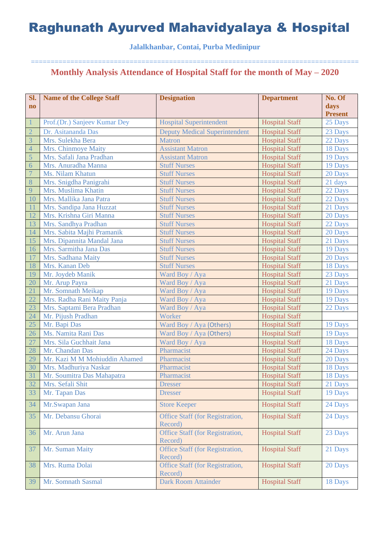### **Jalalkhanbar, Contai, Purba Medinipur**

| Sl.                    | <b>Name of the College Staff</b> | <b>Designation</b>                         | <b>Department</b>     | No. Of         |
|------------------------|----------------------------------|--------------------------------------------|-----------------------|----------------|
| $\mathbf{n}\mathbf{o}$ |                                  |                                            |                       | days           |
|                        |                                  |                                            |                       | <b>Present</b> |
| $\mathbf{1}$           | Prof.(Dr.) Sanjeev Kumar Dey     | <b>Hospital Superintendent</b>             | <b>Hospital Staff</b> | 25 Days        |
| $\overline{2}$         | Dr. Asitananda Das               | <b>Deputy Medical Superintendent</b>       | <b>Hospital Staff</b> | 23 Days        |
| $\overline{3}$         | Mrs. Sulekha Bera                | <b>Matron</b>                              | <b>Hospital Staff</b> | 22 Days        |
| $\overline{4}$         | Mrs. Chinmoye Maity              | <b>Assistant Matron</b>                    | <b>Hospital Staff</b> | 18 Days        |
| $\overline{5}$         | Mrs. Safali Jana Pradhan         | <b>Assistant Matron</b>                    | <b>Hospital Staff</b> | 19 Days        |
| 6                      | Mrs. Anuradha Manna              | <b>Stuff Nurses</b>                        | <b>Hospital Staff</b> | 19 Days        |
| $\overline{7}$         | Ms. Nilam Khatun                 | <b>Stuff Nurses</b>                        | <b>Hospital Staff</b> | 20 Days        |
| 8                      | Mrs. Snigdha Panigrahi           | <b>Stuff Nurses</b>                        | <b>Hospital Staff</b> | 21 days        |
| 9                      | Mrs. Muslima Khatin              | <b>Stuff Nurses</b>                        | <b>Hospital Staff</b> | 22 Days        |
| 10                     | Mrs. Mallika Jana Patra          | <b>Stuff Nurses</b>                        | <b>Hospital Staff</b> | 22 Days        |
| <sup>11</sup>          | Mrs. Sandipa Jana Huzzat         | <b>Stuff Nurses</b>                        | <b>Hospital Staff</b> | 21 Days        |
| 12                     | Mrs. Krishna Giri Manna          | <b>Stuff Nurses</b>                        | <b>Hospital Staff</b> | 20 Days        |
| 13                     | Mrs. Sandhya Pradhan             | <b>Stuff Nurses</b>                        | <b>Hospital Staff</b> | 22 Days        |
| 14                     | Mrs. Sabita Majhi Pramanik       | <b>Stuff Nurses</b>                        | <b>Hospital Staff</b> | 20 Days        |
| 15                     | Mrs. Dipannita Mandal Jana       | <b>Stuff Nurses</b>                        | <b>Hospital Staff</b> | 21 Days        |
| 16                     | Mrs. Sarmitha Jana Das           | <b>Stuff Nurses</b>                        | <b>Hospital Staff</b> | 19 Days        |
| 17                     | Mrs. Sadhana Maity               | <b>Stuff Nurses</b>                        | <b>Hospital Staff</b> | 20 Days        |
| 18                     | Mrs. Kanan Deb                   | <b>Stuff Nurses</b>                        | <b>Hospital Staff</b> | 18 Days        |
| 19                     | Mr. Joydeb Manik                 | Ward Boy / Aya                             | <b>Hospital Staff</b> | 23 Days        |
| 20                     | Mr. Arup Payra                   | Ward Boy / Aya                             | <b>Hospital Staff</b> | 21 Days        |
| 21                     | Mr. Somnath Meikap               | Ward Boy / Aya                             | <b>Hospital Staff</b> | 19 Days        |
| 22                     | Mrs. Radha Rani Maity Panja      | Ward Boy / Aya                             | <b>Hospital Staff</b> | 19 Days        |
| 23                     | Mrs. Saptami Bera Pradhan        | Ward Boy / Aya                             | <b>Hospital Staff</b> | 22 Days        |
| 24                     | Mr. Pijush Pradhan               | Worker                                     | <b>Hospital Staff</b> |                |
| 25                     | Mr. Bapi Das                     | Ward Boy / Aya (Others)                    | <b>Hospital Staff</b> | 19 Days        |
| 26                     | Ms. Namita Rani Das              | Ward Boy / Aya (Others)                    | <b>Hospital Staff</b> | 19 Days        |
| 27                     | Mrs. Sila Guchhait Jana          | Ward Boy / Aya                             | <b>Hospital Staff</b> | 18 Days        |
| 28                     | Mr. Chandan Das                  | Pharmacist                                 | <b>Hospital Staff</b> | 24 Days        |
| 29                     | Mr. Kazi M M Mohiuddin Ahamed    | Pharmacist                                 | <b>Hospital Staff</b> | 20 Days        |
| 30                     | Mrs. Madhuriya Naskar            | Pharmacist                                 | <b>Hospital Staff</b> | 18 Days        |
| 31                     | Mr. Soumitra Das Mahapatra       | Pharmacist                                 | <b>Hospital Staff</b> | 18 Days        |
| 32                     | Mrs. Sefali Shit                 | <b>Dresser</b>                             | <b>Hospital Staff</b> | 21 Days        |
| 33                     | Mr. Tapan Das                    | <b>Dresser</b>                             | <b>Hospital Staff</b> | 19 Days        |
| 34                     | Mr.Swapan Jana                   | <b>Store Keeper</b>                        | <b>Hospital Staff</b> | 24 Days        |
| 35                     | Mr. Debansu Ghorai               | <b>Office Staff (for Registration,</b>     | <b>Hospital Staff</b> | 24 Days        |
|                        |                                  | Record)                                    |                       |                |
| 36                     | Mr. Arun Jana                    | Office Staff (for Registration,            | <b>Hospital Staff</b> | 23 Days        |
| 37                     | Mr. Suman Maity                  | Record)<br>Office Staff (for Registration, | <b>Hospital Staff</b> | 21 Days        |
|                        |                                  | Record)                                    |                       |                |
| 38                     | Mrs. Ruma Dolai                  | Office Staff (for Registration,<br>Record) | <b>Hospital Staff</b> | 20 Days        |
| 39                     | Mr. Somnath Sasmal               | <b>Dark Room Attainder</b>                 | <b>Hospital Staff</b> | 18 Days        |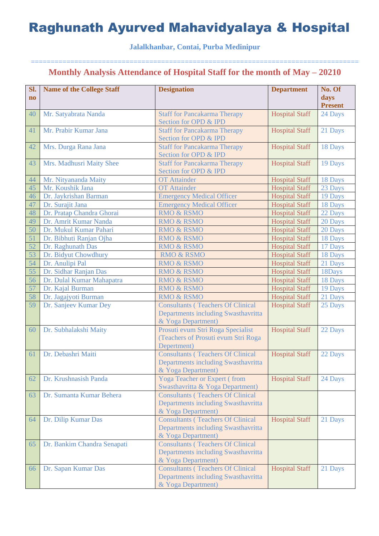### **Jalalkhanbar, Contai, Purba Medinipur**

| Sl.                    | <b>Name of the College Staff</b> | <b>Designation</b>                                           | <b>Department</b>     | No. Of         |
|------------------------|----------------------------------|--------------------------------------------------------------|-----------------------|----------------|
| $\mathbf{n}\mathbf{o}$ |                                  |                                                              |                       | days           |
|                        |                                  |                                                              |                       | <b>Present</b> |
| 40                     | Mr. Satyabrata Nanda             | <b>Staff for Pancakarma Therapy</b>                          | <b>Hospital Staff</b> | 24 Days        |
|                        |                                  | Section for OPD & IPD                                        |                       |                |
| 41                     | Mr. Prabir Kumar Jana            | <b>Staff for Pancakarma Therapy</b>                          | <b>Hospital Staff</b> | 21 Days        |
|                        |                                  | Section for OPD & IPD                                        |                       |                |
| 42                     | Mrs. Durga Rana Jana             | <b>Staff for Pancakarma Therapy</b><br>Section for OPD & IPD | <b>Hospital Staff</b> | 18 Days        |
| 43                     | Mrs. Madhusri Maity Shee         | <b>Staff for Pancakarma Therapy</b>                          | <b>Hospital Staff</b> | 19 Days        |
|                        |                                  | Section for OPD & IPD                                        |                       |                |
| 44                     | Mr. Nityananda Maity             | <b>OT</b> Attainder                                          | <b>Hospital Staff</b> | 18 Days        |
| 45                     | Mr. Koushik Jana                 | <b>OT</b> Attainder                                          | <b>Hospital Staff</b> | 23 Days        |
| 46                     | Dr. Jaykrishan Barman            | <b>Emergency Medical Officer</b>                             | <b>Hospital Staff</b> | 19 Days        |
| 47                     | Dr. Surajit Jana                 | <b>Emergency Medical Officer</b>                             | <b>Hospital Staff</b> | 18 Days        |
| 48                     | Dr. Pratap Chandra Ghorai        | <b>RMO &amp; RSMO</b>                                        | <b>Hospital Staff</b> | 22 Days        |
| 49                     | Dr. Amrit Kumar Nanda            | <b>RMO &amp; RSMO</b>                                        | <b>Hospital Staff</b> | 20 Days        |
| 50                     | Dr. Mukul Kumar Pahari           | <b>RMO &amp; RSMO</b>                                        | <b>Hospital Staff</b> | 20 Days        |
| 51                     | Dr. Bibhuti Ranjan Ojha          | <b>RMO &amp; RSMO</b>                                        | <b>Hospital Staff</b> | 18 Days        |
| 52                     | Dr. Raghunath Das                | <b>RMO &amp; RSMO</b>                                        | <b>Hospital Staff</b> | 17 Days        |
| 53                     | Dr. Bidyut Chowdhury             | <b>RMO &amp; RSMO</b>                                        | <b>Hospital Staff</b> | 18 Days        |
| 54                     | Dr. Anulipi Pal                  | <b>RMO &amp; RSMO</b>                                        | <b>Hospital Staff</b> | 21 Days        |
| 55                     | Dr. Sidhar Ranjan Das            | <b>RMO &amp; RSMO</b>                                        | <b>Hospital Staff</b> | 18Days         |
| 56                     | Dr. Dulal Kumar Mahapatra        | <b>RMO &amp; RSMO</b>                                        | <b>Hospital Staff</b> | 18 Days        |
| 57                     | Dr. Kajal Burman                 | <b>RMO &amp; RSMO</b>                                        | <b>Hospital Staff</b> | 19 Days        |
| 58                     | Dr. Jagajyoti Burman             | <b>RMO &amp; RSMO</b>                                        | <b>Hospital Staff</b> | 21 Days        |
| 59                     | Dr. Sanjeev Kumar Dey            | <b>Consultants (Teachers Of Clinical</b>                     | <b>Hospital Staff</b> | 25 Days        |
|                        |                                  | Departments including Swasthavritta                          |                       |                |
|                        |                                  | & Yoga Department)                                           |                       |                |
| 60                     | Dr. Subhalakshi Maity            | Prosuti evum Stri Roga Specialist                            | <b>Hospital Staff</b> | 22 Days        |
|                        |                                  | (Teachers of Prosuti evum Stri Roga                          |                       |                |
| 61                     | Dr. Debashri Maiti               | Depertment)<br><b>Consultants (Teachers Of Clinical</b>      | <b>Hospital Staff</b> | 22 Days        |
|                        |                                  | Departments including Swasthavritta                          |                       |                |
|                        |                                  | & Yoga Department)                                           |                       |                |
| 62                     | Dr. Krushnasish Panda            | <b>Yoga Teacher or Expert (from</b>                          | <b>Hospital Staff</b> | 24 Days        |
|                        |                                  | Swasthavritta & Yoga Department)                             |                       |                |
| 63                     | Dr. Sumanta Kumar Behera         | <b>Consultants (Teachers Of Clinical</b>                     |                       |                |
|                        |                                  | Departments including Swasthavritta                          |                       |                |
|                        |                                  | & Yoga Department)                                           |                       |                |
| 64                     | Dr. Dilip Kumar Das              | <b>Consultants (Teachers Of Clinical</b>                     | <b>Hospital Staff</b> | 21 Days        |
|                        |                                  | Departments including Swasthavritta                          |                       |                |
|                        |                                  | & Yoga Department)                                           |                       |                |
| 65                     | Dr. Bankim Chandra Senapati      | <b>Consultants (Teachers Of Clinical</b>                     |                       |                |
|                        |                                  | Departments including Swasthavritta                          |                       |                |
|                        |                                  | & Yoga Department)                                           |                       |                |
| 66                     | Dr. Sapan Kumar Das              | <b>Consultants (Teachers Of Clinical</b>                     | <b>Hospital Staff</b> | 21 Days        |
|                        |                                  | Departments including Swasthavritta                          |                       |                |
|                        |                                  | & Yoga Department)                                           |                       |                |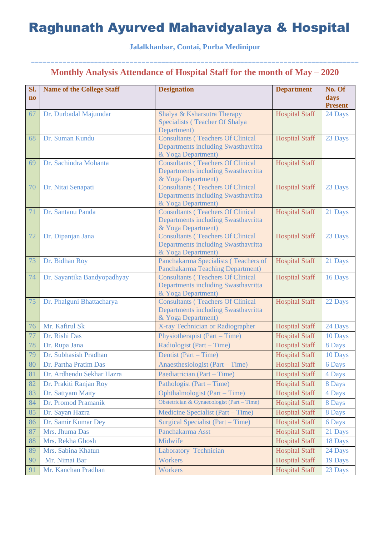### **Jalalkhanbar, Contai, Purba Medinipur**

| SI.<br>$\mathbf{no}$ | <b>Name of the College Staff</b> | <b>Designation</b>                                             | <b>Department</b>     | No. Of<br>days |
|----------------------|----------------------------------|----------------------------------------------------------------|-----------------------|----------------|
|                      |                                  |                                                                |                       | <b>Present</b> |
| 67                   | Dr. Durbadal Majumdar            | Shalya & Ksharsutra Therapy                                    | <b>Hospital Staff</b> | 24 Days        |
|                      |                                  | Specialists (Teacher Of Shalya<br>Department)                  |                       |                |
| 68                   | Dr. Suman Kundu                  | <b>Consultants (Teachers Of Clinical</b>                       | <b>Hospital Staff</b> | 23 Days        |
|                      |                                  | Departments including Swasthavritta                            |                       |                |
|                      |                                  | & Yoga Department)                                             |                       |                |
| 69                   | Dr. Sachindra Mohanta            | <b>Consultants (Teachers Of Clinical</b>                       | <b>Hospital Staff</b> |                |
|                      |                                  | Departments including Swasthavritta                            |                       |                |
| 70                   | Dr. Nitai Senapati               | & Yoga Department)<br><b>Consultants (Teachers Of Clinical</b> | <b>Hospital Staff</b> | 23 Days        |
|                      |                                  | Departments including Swasthavritta                            |                       |                |
|                      |                                  | & Yoga Department)                                             |                       |                |
| 71                   | Dr. Santanu Panda                | <b>Consultants (Teachers Of Clinical</b>                       | <b>Hospital Staff</b> | 21 Days        |
|                      |                                  | Departments including Swasthavritta                            |                       |                |
| 72                   | Dr. Dipanjan Jana                | & Yoga Department)<br><b>Consultants (Teachers Of Clinical</b> | <b>Hospital Staff</b> | 23 Days        |
|                      |                                  | Departments including Swasthavritta                            |                       |                |
|                      |                                  | & Yoga Department)                                             |                       |                |
| 73                   | Dr. Bidhan Roy                   | Panchakarma Specialists (Teachers of                           | <b>Hospital Staff</b> | 21 Days        |
|                      |                                  | <b>Panchakarma Teaching Department)</b>                        |                       |                |
| 74                   | Dr. Sayantika Bandyopadhyay      | <b>Consultants (Teachers Of Clinical</b>                       | <b>Hospital Staff</b> | 16 Days        |
|                      |                                  | Departments including Swasthavritta<br>& Yoga Department)      |                       |                |
| 75                   | Dr. Phalguni Bhattacharya        | <b>Consultants (Teachers Of Clinical</b>                       | <b>Hospital Staff</b> | 22 Days        |
|                      |                                  | Departments including Swasthavritta                            |                       |                |
|                      |                                  | & Yoga Department)                                             |                       |                |
| 76                   | Mr. Kafirul Sk                   | X-ray Technician or Radiographer                               | <b>Hospital Staff</b> | 24 Days        |
| 77                   | Dr. Rishi Das                    | Physiotherapist (Part – Time)                                  | <b>Hospital Staff</b> | 10 Days        |
| 78                   | Dr. Rupa Jana                    | Radiologist (Part – Time)                                      | <b>Hospital Staff</b> | 8 Days         |
| 79                   | Dr. Subhasish Pradhan            | Dentist (Part – Time)                                          | <b>Hospital Staff</b> | 10 Days        |
| 80                   | Dr. Partha Pratim Das            | Anaesthesiologist (Part – Time)                                | <b>Hospital Staff</b> | 6 Days         |
| 81                   | Dr. Ardhendu Sekhar Hazra        | Paediatrician (Part – Time)                                    | <b>Hospital Staff</b> | 4 Days         |
| 82                   | Dr. Prakiti Ranjan Roy           | Pathologist (Part – Time)                                      | <b>Hospital Staff</b> | 8 Days         |
| 83                   | Dr. Sattyam Maity                | Ophthalmologist (Part – Time)                                  | <b>Hospital Staff</b> | 4 Days         |
| 84                   | Dr. Promod Pramanik              | Obstetrician & Gynaecologist (Part - Time)                     | <b>Hospital Staff</b> | 8 Days         |
| 85                   | Dr. Sayan Hazra                  | Medicine Specialist (Part – Time)                              | <b>Hospital Staff</b> | 8 Days         |
| 86                   | Dr. Samir Kumar Dey              | Surgical Specialist (Part – Time)                              | <b>Hospital Staff</b> | 6 Days         |
| 87                   | Mrs. Jhuma Das                   | Panchakarma Asst                                               | <b>Hospital Staff</b> | 21 Days        |
| 88                   | Mrs. Rekha Ghosh                 | Midwife                                                        | <b>Hospital Staff</b> | 18 Days        |
| 89                   | Mrs. Sabina Khatun               | Laboratory Technician                                          | <b>Hospital Staff</b> | 24 Days        |
| 90                   | Mr. Nimai Bar                    | <b>Workers</b>                                                 | <b>Hospital Staff</b> | 19 Days        |
| 91                   | Mr. Kanchan Pradhan              | <b>Workers</b>                                                 | <b>Hospital Staff</b> | 23 Days        |